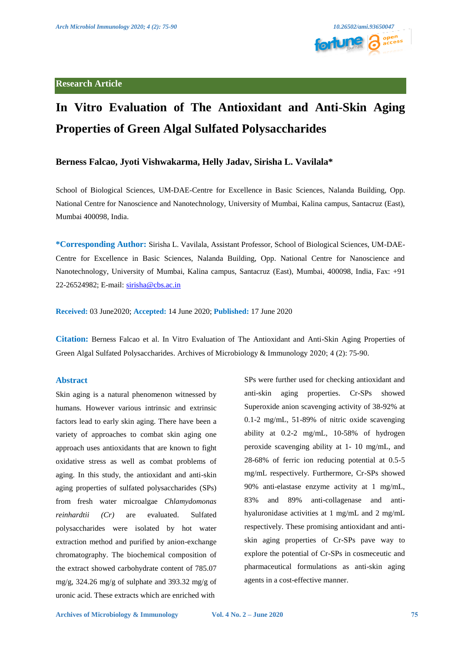

# **In Vitro Evaluation of The Antioxidant and Anti-Skin Aging Properties of Green Algal Sulfated Polysaccharides**

### **Berness Falcao, Jyoti Vishwakarma, Helly Jadav, Sirisha L. Vavilala\***

School of Biological Sciences, UM-DAE-Centre for Excellence in Basic Sciences, Nalanda Building, Opp. National Centre for Nanoscience and Nanotechnology, University of Mumbai, Kalina campus, Santacruz (East), Mumbai 400098, India.

**\*Corresponding Author:** Sirisha L. Vavilala, Assistant Professor, School of Biological Sciences, UM-DAE-Centre for Excellence in Basic Sciences, Nalanda Building, Opp. National Centre for Nanoscience and Nanotechnology, University of Mumbai, Kalina campus, Santacruz (East), Mumbai, 400098, India, Fax: +91 22-26524982; E-mail: [sirisha@cbs.ac.in](mailto:sirisha@cbs.ac.in) 

**Received:** 03 June2020; **Accepted:** 14 June 2020; **Published:** 17 June 2020

**Citation:** Berness Falcao et al. In Vitro Evaluation of The Antioxidant and Anti-Skin Aging Properties of Green Algal Sulfated Polysaccharides. Archives of Microbiology & Immunology 2020; 4 (2): 75-90.

#### **Abstract**

Skin aging is a natural phenomenon witnessed by humans. However various intrinsic and extrinsic factors lead to early skin aging. There have been a variety of approaches to combat skin aging one approach uses antioxidants that are known to fight oxidative stress as well as combat problems of aging. In this study, the antioxidant and anti-skin aging properties of sulfated polysaccharides (SPs) from fresh water microalgae *Chlamydomonas reinhardtii (Cr)* are evaluated. Sulfated polysaccharides were isolated by hot water extraction method and purified by anion-exchange chromatography. The biochemical composition of the extract showed carbohydrate content of 785.07 mg/g, 324.26 mg/g of sulphate and 393.32 mg/g of uronic acid. These extracts which are enriched with

SPs were further used for checking antioxidant and anti-skin aging properties. Cr-SPs showed Superoxide anion scavenging activity of 38-92% at 0.1-2 mg/mL, 51-89% of nitric oxide scavenging ability at 0.2-2 mg/mL, 10-58% of hydrogen peroxide scavenging ability at 1- 10 mg/mL, and 28-68% of ferric ion reducing potential at 0.5-5 mg/mL respectively. Furthermore, Cr-SPs showed 90% anti-elastase enzyme activity at 1 mg/mL, 83% and 89% anti-collagenase and antihyaluronidase activities at 1 mg/mL and 2 mg/mL respectively. These promising antioxidant and antiskin aging properties of Cr-SPs pave way to explore the potential of Cr-SPs in cosmeceutic and pharmaceutical formulations as anti-skin aging agents in a cost-effective manner.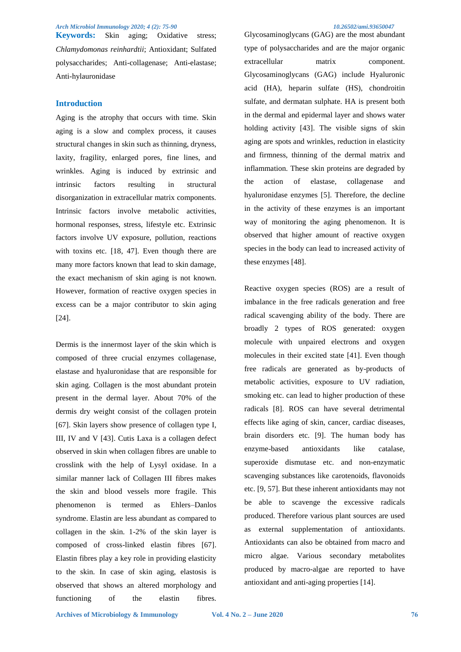**Keywords:** Skin aging; Oxidative stress; *Chlamydomonas reinhardtii*; Antioxidant; Sulfated polysaccharides; Anti-collagenase; Anti-elastase; Anti-hylauronidase

#### **Introduction**

Aging is the atrophy that occurs with time. Skin aging is a slow and complex process, it causes structural changes in skin such as thinning, dryness, laxity, fragility, enlarged pores, fine lines, and wrinkles. Aging is induced by extrinsic and intrinsic factors resulting in structural disorganization in extracellular matrix components. Intrinsic factors involve metabolic activities, hormonal responses, stress, lifestyle etc. Extrinsic factors involve UV exposure, pollution, reactions with toxins etc. [18, 47]. Even though there are many more factors known that lead to skin damage, the exact mechanism of skin aging is not known. However, formation of reactive oxygen species in excess can be a major contributor to skin aging [24].

Dermis is the innermost layer of the skin which is composed of three crucial enzymes collagenase, elastase and hyaluronidase that are responsible for skin aging. Collagen is the most abundant protein present in the dermal layer. About 70% of the dermis dry weight consist of the collagen protein [67]. Skin layers show presence of collagen type I, III, IV and V [43]. Cutis Laxa is a collagen defect observed in skin when collagen fibres are unable to crosslink with the help of Lysyl oxidase. In a similar manner lack of Collagen III fibres makes the skin and blood vessels more fragile. This phenomenon is termed as Ehlers–Danlos syndrome. Elastin are less abundant as compared to collagen in the skin. 1-2% of the skin layer is composed of cross-linked elastin fibres [67]. Elastin fibres play a key role in providing elasticity to the skin. In case of skin aging, elastosis is observed that shows an altered morphology and functioning of the elastin fibres.

Glycosaminoglycans (GAG) are the most abundant type of polysaccharides and are the major organic extracellular matrix component. Glycosaminoglycans (GAG) include Hyaluronic acid (HA), heparin sulfate (HS), chondroitin sulfate, and dermatan sulphate. HA is present both in the dermal and epidermal layer and shows water holding activity [43]. The visible signs of skin aging are spots and wrinkles, reduction in elasticity and firmness, thinning of the dermal matrix and inflammation. These skin proteins are degraded by the action of elastase, collagenase and hyaluronidase enzymes [5]. Therefore, the decline in the activity of these enzymes is an important way of monitoring the aging phenomenon. It is observed that higher amount of reactive oxygen species in the body can lead to increased activity of these enzymes [48].

Reactive oxygen species (ROS) are a result of imbalance in the free radicals generation and free radical scavenging ability of the body. There are broadly 2 types of ROS generated: oxygen molecule with unpaired electrons and oxygen molecules in their excited state [41]. Even though free radicals are generated as by-products of metabolic activities, exposure to UV radiation, smoking etc. can lead to higher production of these radicals [8]. ROS can have several detrimental effects like aging of skin, cancer, cardiac diseases, brain disorders etc. [9]. The human body has enzyme-based antioxidants like catalase, superoxide dismutase etc. and non-enzymatic scavenging substances like carotenoids, flavonoids etc. [9, 57]. But these inherent antioxidants may not be able to scavenge the excessive radicals produced. Therefore various plant sources are used as external supplementation of antioxidants. Antioxidants can also be obtained from macro and micro algae. Various secondary metabolites produced by macro-algae are reported to have antioxidant and anti-aging properties [14].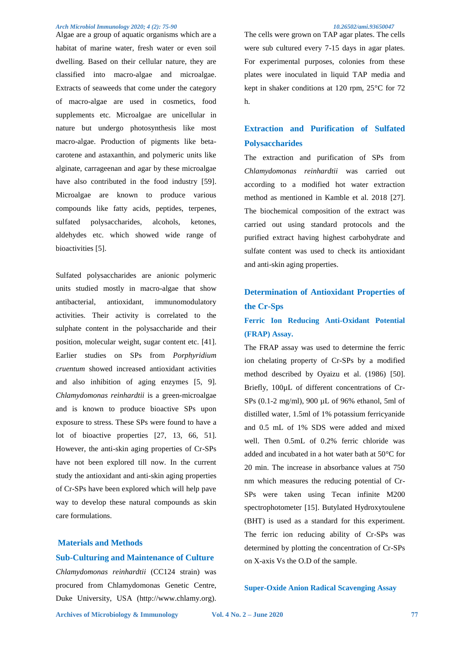Algae are a group of aquatic organisms which are a habitat of marine water, fresh water or even soil dwelling. Based on their cellular nature, they are classified into macro-algae and microalgae. Extracts of seaweeds that come under the category of macro-algae are used in cosmetics, food supplements etc. Microalgae are unicellular in nature but undergo photosynthesis like most macro-algae. Production of pigments like betacarotene and astaxanthin, and polymeric units like alginate, carrageenan and agar by these microalgae have also contributed in the food industry [59]. Microalgae are known to produce various compounds like fatty acids, peptides, terpenes, sulfated polysaccharides, alcohols, ketones, aldehydes etc. which showed wide range of bioactivities [5].

Sulfated polysaccharides are anionic polymeric units studied mostly in macro-algae that show antibacterial, antioxidant, immunomodulatory activities. Their activity is correlated to the sulphate content in the polysaccharide and their position, molecular weight, sugar content etc. [41]. Earlier studies on SPs from *Porphyridium cruentum* showed increased antioxidant activities and also inhibition of aging enzymes [5, 9]. *Chlamydomonas reinhardtii* is a green-microalgae and is known to produce bioactive SPs upon exposure to stress. These SPs were found to have a lot of bioactive properties [27, 13, 66, 51]. However, the anti-skin aging properties of Cr-SPs have not been explored till now. In the current study the antioxidant and anti-skin aging properties of Cr-SPs have been explored which will help pave way to develop these natural compounds as skin care formulations.

### **Materials and Methods Sub-Culturing and Maintenance of Culture**

*Chlamydomonas reinhardtii* (CC124 strain) was procured from Chlamydomonas Genetic Centre, Duke University, USA (http://www.chlamy.org).

The cells were grown on TAP agar plates. The cells were sub cultured every 7-15 days in agar plates. For experimental purposes, colonies from these plates were inoculated in liquid TAP media and kept in shaker conditions at 120 rpm, 25°C for 72 h.

### **Extraction and Purification of Sulfated Polysaccharides**

The extraction and purification of SPs from *Chlamydomonas reinhardtii* was carried out according to a modified hot water extraction method as mentioned in Kamble et al. 2018 [27]. The biochemical composition of the extract was carried out using standard protocols and the purified extract having highest carbohydrate and sulfate content was used to check its antioxidant and anti-skin aging properties.

## **Determination of Antioxidant Properties of the Cr-Sps**

### **Ferric Ion Reducing Anti-Oxidant Potential (FRAP) Assay.**

The FRAP assay was used to determine the ferric ion chelating property of Cr-SPs by a modified method described by Oyaizu et al. (1986) [50]. Briefly, 100µL of different concentrations of Cr-SPs (0.1-2 mg/ml), 900 µL of 96% ethanol, 5ml of distilled water, 1.5ml of 1% potassium ferricyanide and 0.5 mL of 1% SDS were added and mixed well. Then 0.5mL of 0.2% ferric chloride was added and incubated in a hot water bath at 50°C for 20 min. The increase in absorbance values at 750 nm which measures the reducing potential of Cr-SPs were taken using Tecan infinite M200 spectrophotometer [15]. Butylated Hydroxytoulene (BHT) is used as a standard for this experiment. The ferric ion reducing ability of Cr-SPs was determined by plotting the concentration of Cr-SPs on X-axis Vs the O.D of the sample.

### **Super-Oxide Anion Radical Scavenging Assay**

**Archives of Microbiology & Immunology Vol. 4 No. 2 – June 2020 77**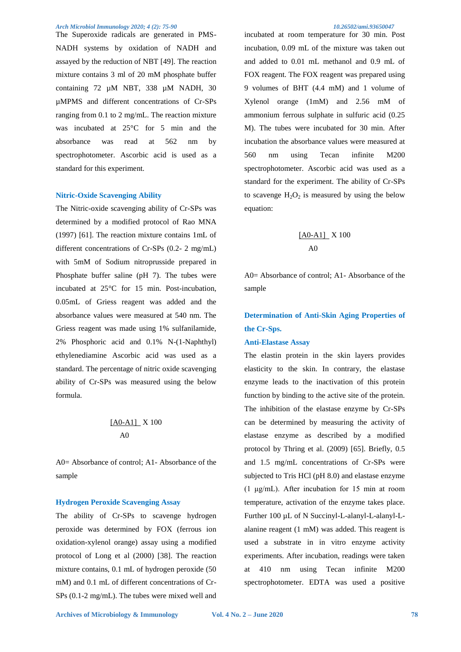The Superoxide radicals are generated in PMS-NADH systems by oxidation of NADH and assayed by the reduction of NBT [49]. The reaction mixture contains 3 ml of 20 mM phosphate buffer containing 72 µM NBT, 338 µM NADH, 30 µMPMS and different concentrations of Cr-SPs ranging from 0.1 to 2 mg/mL. The reaction mixture was incubated at 25°C for 5 min and the absorbance was read at 562 nm by spectrophotometer. Ascorbic acid is used as a standard for this experiment.

#### **Nitric-Oxide Scavenging Ability**

The Nitric-oxide scavenging ability of Cr-SPs was determined by a modified protocol of Rao MNA (1997) [61]. The reaction mixture contains 1mL of different concentrations of Cr-SPs (0.2- 2 mg/mL) with 5mM of Sodium nitroprusside prepared in Phosphate buffer saline (pH 7). The tubes were incubated at 25°C for 15 min. Post-incubation, 0.05mL of Griess reagent was added and the absorbance values were measured at 540 nm. The Griess reagent was made using 1% sulfanilamide, 2% Phosphoric acid and 0.1% N-(1-Naphthyl) ethylenediamine Ascorbic acid was used as a standard. The percentage of nitric oxide scavenging ability of Cr-SPs was measured using the below formula.

$$
\frac{[AO-A1]}{AO}
$$

A0= Absorbance of control; A1- Absorbance of the sample

#### **Hydrogen Peroxide Scavenging Assay**

The ability of Cr-SPs to scavenge hydrogen peroxide was determined by FOX (ferrous ion oxidation-xylenol orange) assay using a modified protocol of Long et al (2000) [38]. The reaction mixture contains, 0.1 mL of hydrogen peroxide (50 mM) and 0.1 mL of different concentrations of Cr-SPs (0.1-2 mg/mL). The tubes were mixed well and

incubated at room temperature for 30 min. Post incubation, 0.09 mL of the mixture was taken out and added to 0.01 mL methanol and 0.9 mL of FOX reagent. The FOX reagent was prepared using 9 volumes of BHT (4.4 mM) and 1 volume of Xylenol orange (1mM) and 2.56 mM of ammonium ferrous sulphate in sulfuric acid (0.25 M). The tubes were incubated for 30 min. After incubation the absorbance values were measured at 560 nm using Tecan infinite M200 spectrophotometer. Ascorbic acid was used as a standard for the experiment. The ability of Cr-SPs to scavenge  $H_2O_2$  is measured by using the below equation:

$$
\frac{[AO-A1]}{AO}
$$

A0= Absorbance of control; A1- Absorbance of the sample

### **Determination of Anti-Skin Aging Properties of the Cr-Sps.**

#### **Anti-Elastase Assay**

The elastin protein in the skin layers provides elasticity to the skin. In contrary, the elastase enzyme leads to the inactivation of this protein function by binding to the active site of the protein. The inhibition of the elastase enzyme by Cr-SPs can be determined by measuring the activity of elastase enzyme as described by a modified protocol by Thring et al. (2009) [65]. Briefly, 0.5 and 1.5 mg/mL concentrations of Cr-SPs were subjected to Tris HCl (pH 8.0) and elastase enzyme (1 μg/mL). After incubation for 15 min at room temperature, activation of the enzyme takes place. Further 100 µL of N Succinyl-L-alanyl-L-alanyl-Lalanine reagent (1 mM) was added. This reagent is used a substrate in in vitro enzyme activity experiments. After incubation, readings were taken at 410 nm using Tecan infinite M200 spectrophotometer. EDTA was used a positive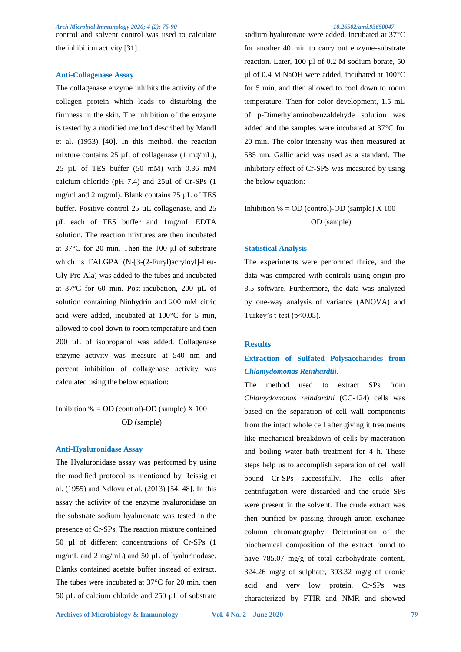*Arch Microbiol Immunology 2020; 4 (2): 75-90 10.26502/ami.93650047*  control and solvent control was used to calculate the inhibition activity [31].

#### **Anti-Collagenase Assay**

The collagenase enzyme inhibits the activity of the collagen protein which leads to disturbing the firmness in the skin. The inhibition of the enzyme is tested by a modified method described by Mandl et al. (1953) [40]. In this method, the reaction mixture contains 25 µL of collagenase (1 mg/mL), 25 µL of TES buffer (50 mM) with 0.36 mM calcium chloride (pH 7.4) and 25µl of Cr-SPs (1 mg/ml and 2 mg/ml). Blank contains 75 µL of TES buffer. Positive control 25 µL collagenase, and 25 µL each of TES buffer and 1mg/mL EDTA solution. The reaction mixtures are then incubated at 37°C for 20 min. Then the 100 μl of substrate which is FALGPA (N-[3-(2-Furyl)acryloyl]-Leu-Gly-Pro-Ala) was added to the tubes and incubated at 37°C for 60 min. Post-incubation, 200 µL of solution containing Ninhydrin and 200 mM citric acid were added, incubated at 100°C for 5 min, allowed to cool down to room temperature and then 200 µL of isopropanol was added. Collagenase enzyme activity was measure at 540 nm and percent inhibition of collagenase activity was calculated using the below equation:

### Inhibition  $% = OD$  (control)-OD (sample)  $X$  100 OD (sample)

#### **Anti-Hyaluronidase Assay**

The Hyaluronidase assay was performed by using the modified protocol as mentioned by Reissig et al. (1955) and Ndlovu et al. (2013) [54, 48]. In this assay the activity of the enzyme hyaluronidase on the substrate sodium hyaluronate was tested in the presence of Cr-SPs. The reaction mixture contained 50 µl of different concentrations of Cr-SPs (1 mg/mL and 2 mg/mL) and 50 µL of hyalurinodase. Blanks contained acetate buffer instead of extract. The tubes were incubated at 37°C for 20 min. then 50 µL of calcium chloride and 250 µL of substrate sodium hyaluronate were added, incubated at 37°C for another 40 min to carry out enzyme-substrate reaction. Later, 100 µl of 0.2 M sodium borate, 50 µl of 0.4 M NaOH were added, incubated at 100°C for 5 min, and then allowed to cool down to room temperature. Then for color development, 1.5 mL of p-Dimethylaminobenzaldehyde solution was added and the samples were incubated at 37°C for 20 min. The color intensity was then measured at 585 nm. Gallic acid was used as a standard. The inhibitory effect of Cr-SPS was measured by using the below equation:

Inhibition  $\% = OD$  (control)-OD (sample)  $X$  100 OD (sample)

#### **Statistical Analysis**

The experiments were performed thrice, and the data was compared with controls using origin pro 8.5 software. Furthermore, the data was analyzed by one-way analysis of variance (ANOVA) and Turkey's t-test  $(p<0.05)$ .

#### **Results**

### **Extraction of Sulfated Polysaccharides from**  *Chlamydomonas Reinhardtii***.**

The method used to extract SPs from *Chlamydomonas reindardtii* (CC-124) cells was based on the separation of cell wall components from the intact whole cell after giving it treatments like mechanical breakdown of cells by maceration and boiling water bath treatment for 4 h. These steps help us to accomplish separation of cell wall bound Cr-SPs successfully. The cells after centrifugation were discarded and the crude SPs were present in the solvent. The crude extract was then purified by passing through anion exchange column chromatography. Determination of the biochemical composition of the extract found to have 785.07 mg/g of total carbohydrate content, 324.26 mg/g of sulphate, 393.32 mg/g of uronic acid and very low protein. Cr-SPs was characterized by FTIR and NMR and showed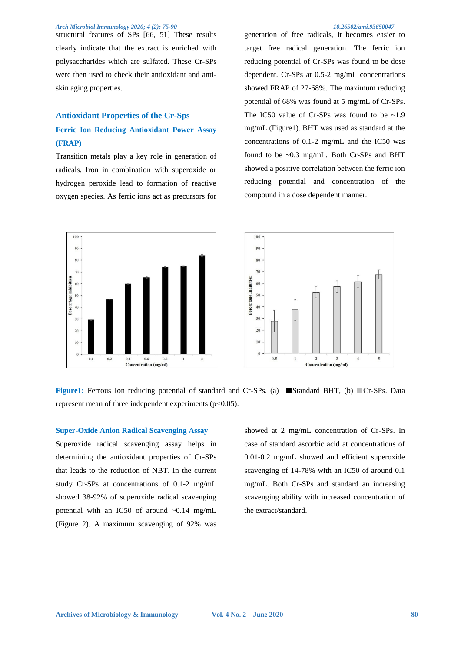structural features of SPs [66, 51] These results clearly indicate that the extract is enriched with polysaccharides which are sulfated. These Cr-SPs were then used to check their antioxidant and antiskin aging properties.

### **Antioxidant Properties of the Cr-Sps Ferric Ion Reducing Antioxidant Power Assay (FRAP)**

Transition metals play a key role in generation of radicals. Iron in combination with superoxide or hydrogen peroxide lead to formation of reactive oxygen species. As ferric ions act as precursors for





generation of free radicals, it becomes easier to target free radical generation. The ferric ion reducing potential of Cr-SPs was found to be dose dependent. Cr-SPs at 0.5-2 mg/mL concentrations showed FRAP of 27-68%. The maximum reducing potential of 68% was found at 5 mg/mL of Cr-SPs. The IC50 value of Cr-SPs was found to be  $\sim$ 1.9 mg/mL (Figure1). BHT was used as standard at the concentrations of 0.1-2 mg/mL and the IC50 was found to be ~0.3 mg/mL. Both Cr-SPs and BHT showed a positive correlation between the ferric ion reducing potential and concentration of the compound in a dose dependent manner.



**Figure1:** Ferrous Ion reducing potential of standard and Cr-SPs. (a) **Standard BHT**, (b) Cr-SPs. Data represent mean of three independent experiments ( $p<0.05$ ).

#### **Super-Oxide Anion Radical Scavenging Assay**

Superoxide radical scavenging assay helps in determining the antioxidant properties of Cr-SPs that leads to the reduction of NBT. In the current study Cr-SPs at concentrations of 0.1-2 mg/mL showed 38-92% of superoxide radical scavenging potential with an IC50 of around ~0.14 mg/mL (Figure 2). A maximum scavenging of 92% was

showed at 2 mg/mL concentration of Cr-SPs. In case of standard ascorbic acid at concentrations of 0.01-0.2 mg/mL showed and efficient superoxide scavenging of 14-78% with an IC50 of around 0.1 mg/mL. Both Cr-SPs and standard an increasing scavenging ability with increased concentration of the extract/standard.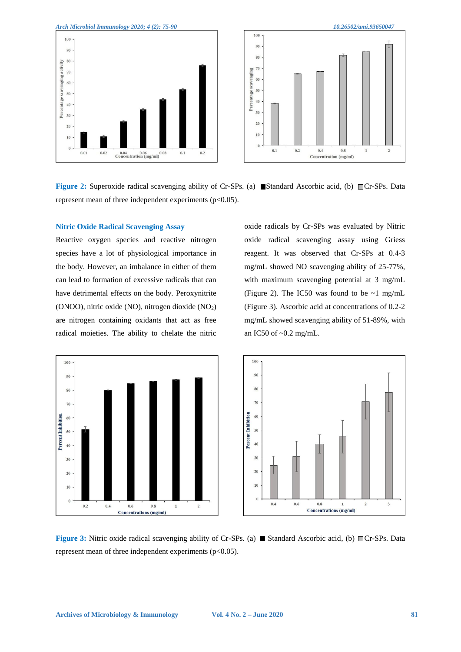

**Figure 2:** Superoxide radical scavenging ability of Cr-SPs. (a) **Standard Ascorbic acid, (b)** Cr-SPs. Data represent mean of three independent experiments ( $p<0.05$ ).

#### **Nitric Oxide Radical Scavenging Assay**

Reactive oxygen species and reactive nitrogen species have a lot of physiological importance in the body. However, an imbalance in either of them can lead to formation of excessive radicals that can have detrimental effects on the body. Peroxynitrite (ONOO), nitric oxide (NO), nitrogen dioxide  $(NO<sub>2</sub>)$ are nitrogen containing oxidants that act as free radical moieties. The ability to chelate the nitric

oxide radicals by Cr-SPs was evaluated by Nitric oxide radical scavenging assay using Griess reagent. It was observed that Cr-SPs at 0.4-3 mg/mL showed NO scavenging ability of 25-77%, with maximum scavenging potential at 3 mg/mL (Figure 2). The IC50 was found to be  $\sim$ 1 mg/mL (Figure 3). Ascorbic acid at concentrations of 0.2-2 mg/mL showed scavenging ability of 51-89%, with an IC50 of ~0.2 mg/mL.





**Figure 3:** Nitric oxide radical scavenging ability of Cr-SPs. (a) **Standard Ascorbic acid, (b)** Cr-SPs. Data represent mean of three independent experiments ( $p<0.05$ ).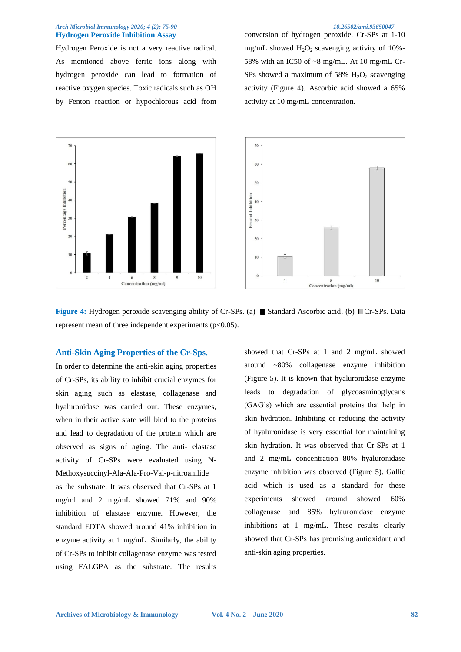#### *Arch Microbiol Immunology 2020; 4 (2): 75-90 10.26502/ami.93650047*  **Hydrogen Peroxide Inhibition Assay**

Hydrogen Peroxide is not a very reactive radical. As mentioned above ferric ions along with hydrogen peroxide can lead to formation of reactive oxygen species. Toxic radicals such as OH by Fenton reaction or hypochlorous acid from conversion of hydrogen peroxide. Cr-SPs at 1-10 mg/mL showed  $H_2O_2$  scavenging activity of 10%-58% with an IC50 of ~8 mg/mL. At 10 mg/mL Cr-SPs showed a maximum of 58%  $H_2O_2$  scavenging activity (Figure 4). Ascorbic acid showed a 65% activity at 10 mg/mL concentration.





**Figure 4:** Hydrogen peroxide scavenging ability of Cr-SPs. (a) Standard Ascorbic acid, (b) Cr-SPs. Data represent mean of three independent experiments (p<0.05).

### **Anti-Skin Aging Properties of the Cr-Sps.**

In order to determine the anti-skin aging properties of Cr-SPs, its ability to inhibit crucial enzymes for skin aging such as elastase, collagenase and hyaluronidase was carried out. These enzymes, when in their active state will bind to the proteins and lead to degradation of the protein which are observed as signs of aging. The anti- elastase activity of Cr-SPs were evaluated using N-Methoxysuccinyl-Ala-Ala-Pro-Val-p-nitroanilide as the substrate. It was observed that Cr-SPs at 1 mg/ml and 2 mg/mL showed 71% and 90% inhibition of elastase enzyme. However, the standard EDTA showed around 41% inhibition in enzyme activity at 1 mg/mL. Similarly, the ability of Cr-SPs to inhibit collagenase enzyme was tested using FALGPA as the substrate. The results

showed that Cr-SPs at 1 and 2 mg/mL showed around ~80% collagenase enzyme inhibition (Figure 5). It is known that hyaluronidase enzyme leads to degradation of glycoasminoglycans (GAG's) which are essential proteins that help in skin hydration. Inhibiting or reducing the activity of hyaluronidase is very essential for maintaining skin hydration. It was observed that Cr-SPs at 1 and 2 mg/mL concentration 80% hyaluronidase enzyme inhibition was observed (Figure 5). Gallic acid which is used as a standard for these experiments showed around showed 60% collagenase and 85% hylauronidase enzyme inhibitions at 1 mg/mL. These results clearly showed that Cr-SPs has promising antioxidant and anti-skin aging properties.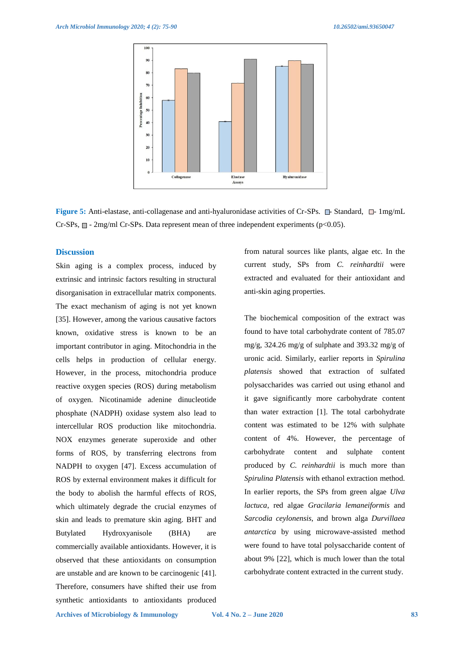

**Figure 5:** Anti-elastase, anti-collagenase and anti-hyaluronidase activities of Cr-SPs.  $\Box$ - Standard,  $\Box$ - 1mg/mL Cr-SPs,  $\Box$  - 2mg/ml Cr-SPs. Data represent mean of three independent experiments (p<0.05).

#### **Discussion**

Skin aging is a complex process, induced by extrinsic and intrinsic factors resulting in structural disorganisation in extracellular matrix components. The exact mechanism of aging is not yet known [35]. However, among the various causative factors known, oxidative stress is known to be an important contributor in aging. Mitochondria in the cells helps in production of cellular energy. However, in the process, mitochondria produce reactive oxygen species (ROS) during metabolism of oxygen. Nicotinamide adenine dinucleotide phosphate (NADPH) oxidase system also lead to intercellular ROS production like mitochondria. NOX enzymes generate superoxide and other forms of ROS, by transferring electrons from NADPH to oxygen [47]. Excess accumulation of ROS by external environment makes it difficult for the body to abolish the harmful effects of ROS, which ultimately degrade the crucial enzymes of skin and leads to premature skin aging. BHT and Butylated Hydroxyanisole (BHA) are commercially available antioxidants. However, it is observed that these antioxidants on consumption are unstable and are known to be carcinogenic [41]. Therefore, consumers have shifted their use from synthetic antioxidants to antioxidants produced

from natural sources like plants, algae etc. In the current study, SPs from *C. reinhardtii* were extracted and evaluated for their antioxidant and anti-skin aging properties.

The biochemical composition of the extract was found to have total carbohydrate content of 785.07 mg/g, 324.26 mg/g of sulphate and 393.32 mg/g of uronic acid. Similarly, earlier reports in *Spirulina platensis* showed that extraction of sulfated polysaccharides was carried out using ethanol and it gave significantly more carbohydrate content than water extraction [1]. The total carbohydrate content was estimated to be 12% with sulphate content of 4%. However, the percentage of carbohydrate content and sulphate content produced by *C. reinhardtii* is much more than *Spirulina Platensis* with ethanol extraction method. In earlier reports, the SPs from green algae *Ulva lactuca*, red algae *Gracilaria lemaneiformis* and *Sarcodia ceylonensis*, and brown alga *Durvillaea antarctica* by using microwave-assisted method were found to have total polysaccharide content of about 9% [22], which is much lower than the total carbohydrate content extracted in the current study.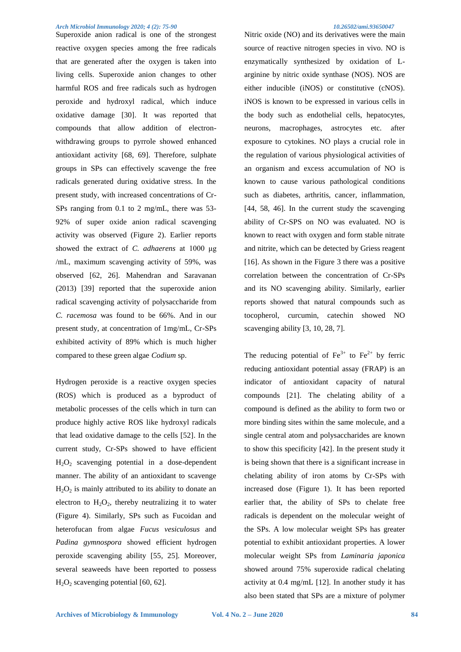Superoxide anion radical is one of the strongest reactive oxygen species among the free radicals that are generated after the oxygen is taken into living cells. Superoxide anion changes to other harmful ROS and free radicals such as hydrogen peroxide and hydroxyl radical, which induce oxidative damage [30]. It was reported that compounds that allow addition of electronwithdrawing groups to pyrrole showed enhanced antioxidant activity [68, 69]. Therefore, sulphate groups in SPs can effectively scavenge the free radicals generated during oxidative stress. In the present study, with increased concentrations of Cr-SPs ranging from 0.1 to 2 mg/mL, there was 53- 92% of super oxide anion radical scavenging activity was observed (Figure 2). Earlier reports showed the extract of *C. adhaerens* at 1000 μg /mL, maximum scavenging activity of 59%, was observed [62, 26]. Mahendran and Saravanan (2013) [39] reported that the superoxide anion radical scavenging activity of polysaccharide from *C. racemosa* was found to be 66%. And in our present study, at concentration of 1mg/mL, Cr-SPs exhibited activity of 89% which is much higher compared to these green algae *Codium* sp.

Hydrogen peroxide is a reactive oxygen species (ROS) which is produced as a byproduct of metabolic processes of the cells which in turn can produce highly active ROS like hydroxyl radicals that lead oxidative damage to the cells [52]. In the current study, Cr-SPs showed to have efficient  $H_2O_2$  scavenging potential in a dose-dependent manner. The ability of an antioxidant to scavenge  $H_2O_2$  is mainly attributed to its ability to donate an electron to  $H_2O_2$ , thereby neutralizing it to water (Figure 4). Similarly, SPs such as Fucoidan and heterofucan from algae *Fucus vesiculosus* and *Padina gymnospora* showed efficient hydrogen peroxide scavenging ability [55, 25]. Moreover, several seaweeds have been reported to possess  $H<sub>2</sub>O<sub>2</sub>$  scavenging potential [60, 62].

Nitric oxide (NO) and its derivatives were the main source of reactive nitrogen species in vivo. NO is enzymatically synthesized by oxidation of Larginine by nitric oxide synthase (NOS). NOS are either inducible (iNOS) or constitutive (cNOS). iNOS is known to be expressed in various cells in the body such as endothelial cells, hepatocytes, neurons, macrophages, astrocytes etc. after exposure to cytokines. NO plays a crucial role in the regulation of various physiological activities of an organism and excess accumulation of NO is known to cause various pathological conditions such as diabetes, arthritis, cancer, inflammation, [44, 58, 46]. In the current study the scavenging ability of Cr-SPS on NO was evaluated. NO is known to react with oxygen and form stable nitrate and nitrite, which can be detected by Griess reagent [16]. As shown in the Figure 3 there was a positive correlation between the concentration of Cr-SPs and its NO scavenging ability. Similarly, earlier reports showed that natural compounds such as tocopherol, curcumin, catechin showed NO scavenging ability [3, 10, 28, 7].

The reducing potential of  $Fe^{3+}$  to  $Fe^{2+}$  by ferric reducing antioxidant potential assay (FRAP) is an indicator of antioxidant capacity of natural compounds [21]. The chelating ability of a compound is defined as the ability to form two or more binding sites within the same molecule, and a single central atom and polysaccharides are known to show this specificity [42]. In the present study it is being shown that there is a significant increase in chelating ability of iron atoms by Cr-SPs with increased dose (Figure 1). It has been reported earlier that, the ability of SPs to chelate free radicals is dependent on the molecular weight of the SPs. A low molecular weight SPs has greater potential to exhibit antioxidant properties. A lower molecular weight SPs from *Laminaria japonica* showed around 75% superoxide radical chelating activity at 0.4 mg/mL [12]. In another study it has also been stated that SPs are a mixture of polymer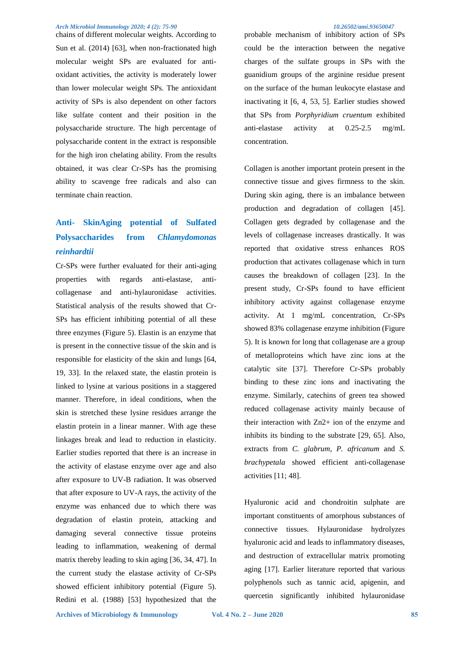chains of different molecular weights. According to Sun et al. (2014) [63], when non-fractionated high molecular weight SPs are evaluated for antioxidant activities, the activity is moderately lower than lower molecular weight SPs. The antioxidant activity of SPs is also dependent on other factors like sulfate content and their position in the polysaccharide structure. The high percentage of polysaccharide content in the extract is responsible for the high iron chelating ability. From the results obtained, it was clear Cr-SPs has the promising ability to scavenge free radicals and also can terminate chain reaction.

## **Anti- SkinAging potential of Sulfated Polysaccharides from** *Chlamydomonas reinhardtii*

Cr-SPs were further evaluated for their anti-aging properties with regards anti-elastase, anticollagenase and anti-hylauronidase activities. Statistical analysis of the results showed that Cr-SPs has efficient inhibiting potential of all these three enzymes (Figure 5). Elastin is an enzyme that is present in the connective tissue of the skin and is responsible for elasticity of the skin and lungs [64, 19, 33]. In the relaxed state, the elastin protein is linked to lysine at various positions in a staggered manner. Therefore, in ideal conditions, when the skin is stretched these lysine residues arrange the elastin protein in a linear manner. With age these linkages break and lead to reduction in elasticity. Earlier studies reported that there is an increase in the activity of elastase enzyme over age and also after exposure to UV-B radiation. It was observed that after exposure to UV-A rays, the activity of the enzyme was enhanced due to which there was degradation of elastin protein, attacking and damaging several connective tissue proteins leading to inflammation, weakening of dermal matrix thereby leading to skin aging [36, 34, 47]. In the current study the elastase activity of Cr-SPs showed efficient inhibitory potential (Figure 5). Redini et al. (1988) [53] hypothesized that the

probable mechanism of inhibitory action of SPs could be the interaction between the negative charges of the sulfate groups in SPs with the guanidium groups of the arginine residue present on the surface of the human leukocyte elastase and inactivating it [6, 4, 53, 5]. Earlier studies showed that SPs from *Porphyridium cruentum* exhibited anti-elastase activity at 0.25-2.5 mg/mL concentration.

Collagen is another important protein present in the connective tissue and gives firmness to the skin. During skin aging, there is an imbalance between production and degradation of collagen [45]. Collagen gets degraded by collagenase and the levels of collagenase increases drastically. It was reported that oxidative stress enhances ROS production that activates collagenase which in turn causes the breakdown of collagen [23]. In the present study, Cr-SPs found to have efficient inhibitory activity against collagenase enzyme activity. At 1 mg/mL concentration, Cr-SPs showed 83% collagenase enzyme inhibition (Figure 5). It is known for long that collagenase are a group of metalloproteins which have zinc ions at the catalytic site [37]. Therefore Cr-SPs probably binding to these zinc ions and inactivating the enzyme. Similarly, catechins of green tea showed reduced collagenase activity mainly because of their interaction with Zn2+ ion of the enzyme and inhibits its binding to the substrate [29, 65]. Also, extracts from *C. glabrum*, *P. africanum* and *S. brachypetala* showed efficient anti-collagenase activities [11; 48].

Hyaluronic acid and chondroitin sulphate are important constituents of amorphous substances of connective tissues. Hylauronidase hydrolyzes hyaluronic acid and leads to inflammatory diseases, and destruction of extracellular matrix promoting aging [17]. Earlier literature reported that various polyphenols such as tannic acid, apigenin, and quercetin significantly inhibited hylauronidase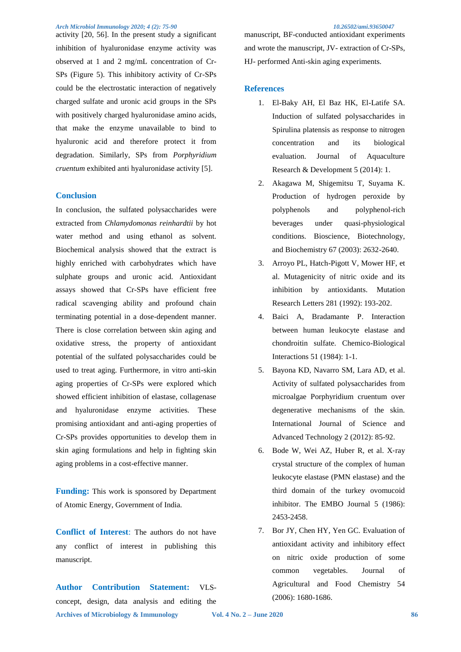activity [20, 56]. In the present study a significant inhibition of hyaluronidase enzyme activity was observed at 1 and 2 mg/mL concentration of Cr-SPs (Figure 5). This inhibitory activity of Cr-SPs could be the electrostatic interaction of negatively charged sulfate and uronic acid groups in the SPs with positively charged hyaluronidase amino acids, that make the enzyme unavailable to bind to hyaluronic acid and therefore protect it from degradation. Similarly, SPs from *Porphyridium cruentum* exhibited anti hyaluronidase activity [5].

#### **Conclusion**

In conclusion, the sulfated polysaccharides were extracted from *Chlamydomonas reinhardtii* by hot water method and using ethanol as solvent. Biochemical analysis showed that the extract is highly enriched with carbohydrates which have sulphate groups and uronic acid. Antioxidant assays showed that Cr-SPs have efficient free radical scavenging ability and profound chain terminating potential in a dose-dependent manner. There is close correlation between skin aging and oxidative stress, the property of antioxidant potential of the sulfated polysaccharides could be used to treat aging. Furthermore, in vitro anti-skin aging properties of Cr-SPs were explored which showed efficient inhibition of elastase, collagenase and hyaluronidase enzyme activities. These promising antioxidant and anti-aging properties of Cr-SPs provides opportunities to develop them in skin aging formulations and help in fighting skin aging problems in a cost-effective manner.

**Funding:** This work is sponsored by Department of Atomic Energy, Government of India.

**Conflict of Interest**: The authors do not have any conflict of interest in publishing this manuscript.

**Archives of Microbiology & Immunology Vol. 4 No. 2 – June 2020 86 Author Contribution Statement:** VLSconcept, design, data analysis and editing the

manuscript, BF-conducted antioxidant experiments and wrote the manuscript, JV- extraction of Cr-SPs, HJ- performed Anti-skin aging experiments.

#### **References**

- 1. El-Baky AH, El Baz HK, El-Latife SA. Induction of sulfated polysaccharides in Spirulina platensis as response to nitrogen concentration and its biological evaluation. Journal of Aquaculture Research & Development 5 (2014): 1.
- 2. Akagawa M, Shigemitsu T, Suyama K. Production of hydrogen peroxide by polyphenols and polyphenol-rich beverages under quasi-physiological conditions. Bioscience, Biotechnology, and Biochemistry 67 (2003): 2632-2640.
- 3. Arroyo PL, Hatch-Pigott V, Mower HF, et al. Mutagenicity of nitric oxide and its inhibition by antioxidants. Mutation Research Letters 281 (1992): 193-202.
- 4. Baici A, Bradamante P. Interaction between human leukocyte elastase and chondroitin sulfate. Chemico-Biological Interactions 51 (1984): 1-1.
- 5. Bayona KD, Navarro SM, Lara AD, et al. Activity of sulfated polysaccharides from microalgae Porphyridium cruentum over degenerative mechanisms of the skin. International Journal of Science and Advanced Technology 2 (2012): 85-92.
- 6. Bode W, Wei AZ, Huber R, et al. X‐ray crystal structure of the complex of human leukocyte elastase (PMN elastase) and the third domain of the turkey ovomucoid inhibitor. The EMBO Journal 5 (1986): 2453-2458.
- 7. Bor JY, Chen HY, Yen GC. Evaluation of antioxidant activity and inhibitory effect on nitric oxide production of some common vegetables. Journal of Agricultural and Food Chemistry 54 (2006): 1680-1686.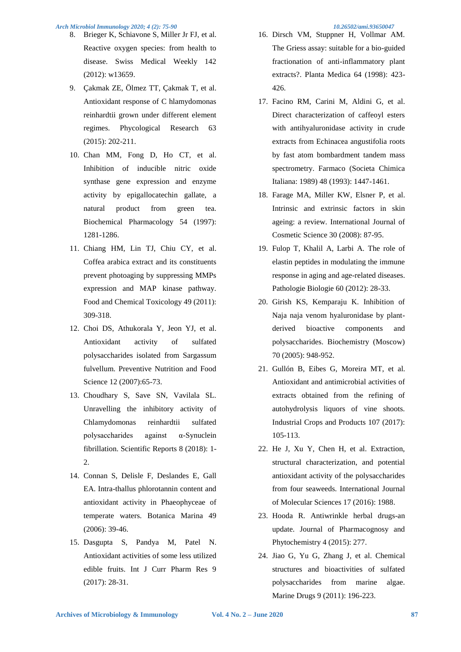- 8. Brieger K, Schiavone S, Miller Jr FJ, et al. Reactive oxygen species: from health to disease. Swiss Medical Weekly 142 (2012): w13659.
- 9. Çakmak ZE, Ölmez TT, Çakmak T, et al. Antioxidant response of C hlamydomonas reinhardtii grown under different element regimes. Phycological Research 63 (2015): 202-211.
- 10. Chan MM, Fong D, Ho CT, et al. Inhibition of inducible nitric oxide synthase gene expression and enzyme activity by epigallocatechin gallate, a natural product from green tea. Biochemical Pharmacology 54 (1997): 1281-1286.
- 11. Chiang HM, Lin TJ, Chiu CY, et al. Coffea arabica extract and its constituents prevent photoaging by suppressing MMPs expression and MAP kinase pathway. Food and Chemical Toxicology 49 (2011): 309-318.
- 12. Choi DS, Athukorala Y, Jeon YJ, et al. Antioxidant activity of sulfated polysaccharides isolated from Sargassum fulvellum. Preventive Nutrition and Food Science 12 (2007):65-73.
- 13. Choudhary S, Save SN, Vavilala SL. Unravelling the inhibitory activity of Chlamydomonas reinhardtii sulfated polysaccharides against α-Synuclein fibrillation. Scientific Reports 8 (2018): 1- 2.
- 14. Connan S, Delisle F, Deslandes E, Gall EA. Intra-thallus phlorotannin content and antioxidant activity in Phaeophyceae of temperate waters. Botanica Marina 49 (2006): 39-46.
- 15. Dasgupta S, Pandya M, Patel N. Antioxidant activities of some less utilized edible fruits. Int J Curr Pharm Res 9 (2017): 28-31.
- 16. Dirsch VM, Stuppner H, Vollmar AM. The Griess assay: suitable for a bio-guided fractionation of anti-inflammatory plant extracts?. Planta Medica 64 (1998): 423- 426.
- 17. Facino RM, Carini M, Aldini G, et al. Direct characterization of caffeoyl esters with antihyaluronidase activity in crude extracts from Echinacea angustifolia roots by fast atom bombardment tandem mass spectrometry. Farmaco (Societa Chimica Italiana: 1989) 48 (1993): 1447-1461.
- 18. Farage MA, Miller KW, Elsner P, et al. Intrinsic and extrinsic factors in skin ageing: a review. International Journal of Cosmetic Science 30 (2008): 87-95.
- 19. Fulop T, Khalil A, Larbi A. The role of elastin peptides in modulating the immune response in aging and age-related diseases. Pathologie Biologie 60 (2012): 28-33.
- 20. Girish KS, Kemparaju K. Inhibition of Naja naja venom hyaluronidase by plantderived bioactive components and polysaccharides. Biochemistry (Moscow) 70 (2005): 948-952.
- 21. Gullón B, Eibes G, Moreira MT, et al. Antioxidant and antimicrobial activities of extracts obtained from the refining of autohydrolysis liquors of vine shoots. Industrial Crops and Products 107 (2017): 105-113.
- 22. He J, Xu Y, Chen H, et al. Extraction, structural characterization, and potential antioxidant activity of the polysaccharides from four seaweeds. International Journal of Molecular Sciences 17 (2016): 1988.
- 23. Hooda R. Antiwrinkle herbal drugs-an update. Journal of Pharmacognosy and Phytochemistry 4 (2015): 277.
- 24. Jiao G, Yu G, Zhang J, et al. Chemical structures and bioactivities of sulfated polysaccharides from marine algae. Marine Drugs 9 (2011): 196-223.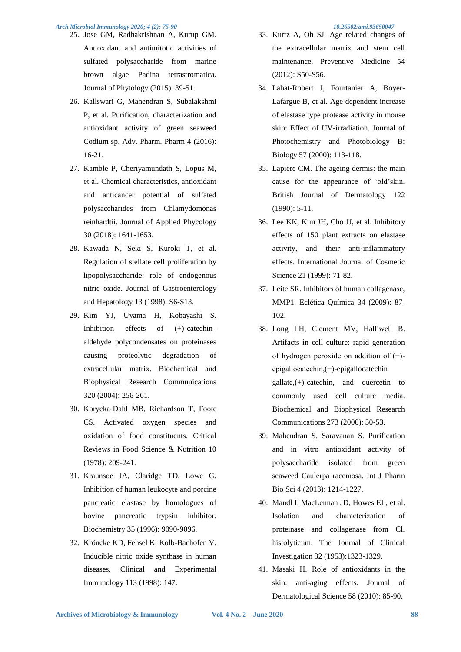- 25. Jose GM, Radhakrishnan A, Kurup GM. Antioxidant and antimitotic activities of sulfated polysaccharide from marine brown algae Padina tetrastromatica. Journal of Phytology (2015): 39-51.
- 26. Kallswari G, Mahendran S, Subalakshmi P, et al. Purification, characterization and antioxidant activity of green seaweed Codium sp. Adv. Pharm. Pharm 4 (2016): 16-21.
- 27. Kamble P, Cheriyamundath S, Lopus M, et al. Chemical characteristics, antioxidant and anticancer potential of sulfated polysaccharides from Chlamydomonas reinhardtii. Journal of Applied Phycology 30 (2018): 1641-1653.
- 28. Kawada N, Seki S, Kuroki T, et al. Regulation of stellate cell proliferation by lipopolysaccharide: role of endogenous nitric oxide. Journal of Gastroenterology and Hepatology 13 (1998): S6-S13.
- 29. Kim YJ, Uyama H, Kobayashi S. Inhibition effects of (+)-catechin– aldehyde polycondensates on proteinases causing proteolytic degradation of extracellular matrix. Biochemical and Biophysical Research Communications 320 (2004): 256-261.
- 30. Korycka‐Dahl MB, Richardson T, Foote CS. Activated oxygen species and oxidation of food constituents. Critical Reviews in Food Science & Nutrition 10 (1978): 209-241.
- 31. Kraunsoe JA, Claridge TD, Lowe G. Inhibition of human leukocyte and porcine pancreatic elastase by homologues of bovine pancreatic trypsin inhibitor. Biochemistry 35 (1996): 9090-9096.
- 32. Kröncke KD, Fehsel K, Kolb-Bachofen V. Inducible nitric oxide synthase in human diseases. Clinical and Experimental Immunology 113 (1998): 147.

- 33. Kurtz A, Oh SJ. Age related changes of the extracellular matrix and stem cell maintenance. Preventive Medicine 54 (2012): S50-S56.
- 34. Labat-Robert J, Fourtanier A, Boyer-Lafargue B, et al. Age dependent increase of elastase type protease activity in mouse skin: Effect of UV-irradiation. Journal of Photochemistry and Photobiology B: Biology 57 (2000): 113-118.
- 35. Lapiere CM. The ageing dermis: the main cause for the appearance of 'old'skin. British Journal of Dermatology 122 (1990): 5-11.
- 36. Lee KK, Kim JH, Cho JJ, et al. Inhibitory effects of 150 plant extracts on elastase activity, and their anti-inflammatory effects. International Journal of Cosmetic Science 21 (1999): 71-82.
- 37. Leite SR. Inhibitors of human collagenase, MMP1. Eclética Química 34 (2009): 87- 102.
- 38. Long LH, Clement MV, Halliwell B. Artifacts in cell culture: rapid generation of hydrogen peroxide on addition of (−) epigallocatechin,(−)-epigallocatechin  $\text{gallate}, (+)$ -catechin, and quercetin to commonly used cell culture media. Biochemical and Biophysical Research Communications 273 (2000): 50-53.
- 39. Mahendran S, Saravanan S. Purification and in vitro antioxidant activity of polysaccharide isolated from green seaweed Caulerpa racemosa. Int J Pharm Bio Sci 4 (2013): 1214-1227.
- 40. Mandl I, MacLennan JD, Howes EL, et al. Isolation and characterization of proteinase and collagenase from Cl. histolyticum. The Journal of Clinical Investigation 32 (1953):1323-1329.
- 41. Masaki H. Role of antioxidants in the skin: anti-aging effects. Journal of Dermatological Science 58 (2010): 85-90.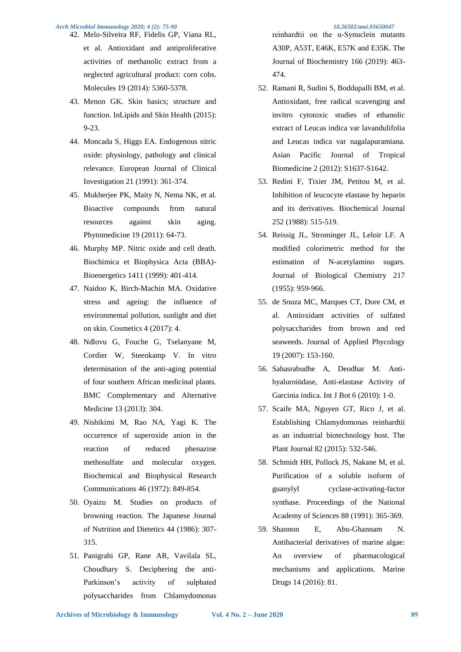- 42. Melo-Silveira RF, Fidelis GP, Viana RL, et al. Antioxidant and antiproliferative activities of methanolic extract from a neglected agricultural product: corn cobs. Molecules 19 (2014): 5360-5378.
- 43. Menon GK. Skin basics; structure and function. InLipids and Skin Health (2015): 9-23.
- 44. Moncada S, Higgs EA. Endogenous nitric oxide: physiology, pathology and clinical relevance. European Journal of Clinical Investigation 21 (1991): 361-374.
- 45. Mukherjee PK, Maity N, Nema NK, et al. Bioactive compounds from natural resources against skin aging. Phytomedicine 19 (2011): 64-73.
- 46. Murphy MP. Nitric oxide and cell death. Biochimica et Biophysica Acta (BBA)- Bioenergetics 1411 (1999): 401-414.
- 47. Naidoo K, Birch-Machin MA. Oxidative stress and ageing: the influence of environmental pollution, sunlight and diet on skin. Cosmetics 4 (2017): 4.
- 48. Ndlovu G, Fouche G, Tselanyane M, Cordier W, Steenkamp V. In vitro determination of the anti-aging potential of four southern African medicinal plants. BMC Complementary and Alternative Medicine 13 (2013): 304.
- 49. Nishikimi M, Rao NA, Yagi K. The occurrence of superoxide anion in the reaction of reduced phenazine methosulfate and molecular oxygen. Biochemical and Biophysical Research Communications 46 (1972): 849-854.
- 50. Oyaizu M. Studies on products of browning reaction. The Japanese Journal of Nutrition and Dietetics 44 (1986): 307- 315.
- 51. Panigrahi GP, Rane AR, Vavilala SL, Choudhary S. Deciphering the anti-Parkinson's activity of sulphated polysaccharides from Chlamydomonas

reinhardtii on the α-Synuclein mutants

A30P, A53T, E46K, E57K and E35K. The Journal of Biochemistry 166 (2019): 463- 474.

- 52. Ramani R, Sudini S, Boddupalli BM, et al. Antioxidant, free radical scavenging and invitro cytotoxic studies of ethanolic extract of Leucas indica var lavandulifolia and Leucas indica var nagalapuramiana. Asian Pacific Journal of Tropical Biomedicine 2 (2012): S1637-S1642.
- 53. Redini F, Tixier JM, Petitou M, et al. Inhibition of leucocyte elastase by heparin and its derivatives. Biochemical Journal 252 (1988): 515-519.
- 54. Reissig JL, Strominger JL, Leloir LF. A modified colorimetric method for the estimation of N-acetylamino sugars. Journal of Biological Chemistry 217 (1955): 959-966.
- 55. de Souza MC, Marques CT, Dore CM, et al. Antioxidant activities of sulfated polysaccharides from brown and red seaweeds. Journal of Applied Phycology 19 (2007): 153-160.
- 56. Sahasrabudhe A, Deodhar M. Antihyaluroiüdase, Anti-elastase Activity of Garcinia indica. Int J Bot 6 (2010): 1-0.
- 57. Scaife MA, Nguyen GT, Rico J, et al. Establishing Chlamydomonas reinhardtii as an industrial biotechnology host. The Plant Journal 82 (2015): 532-546.
- 58. Schmidt HH, Pollock JS, Nakane M, et al. Purification of a soluble isoform of guanylyl cyclase-activating-factor synthase. Proceedings of the National Academy of Sciences 88 (1991): 365-369.
- 59. Shannon E, Abu-Ghannam N. Antibacterial derivatives of marine algae: An overview of pharmacological mechanisms and applications. Marine Drugs 14 (2016): 81.